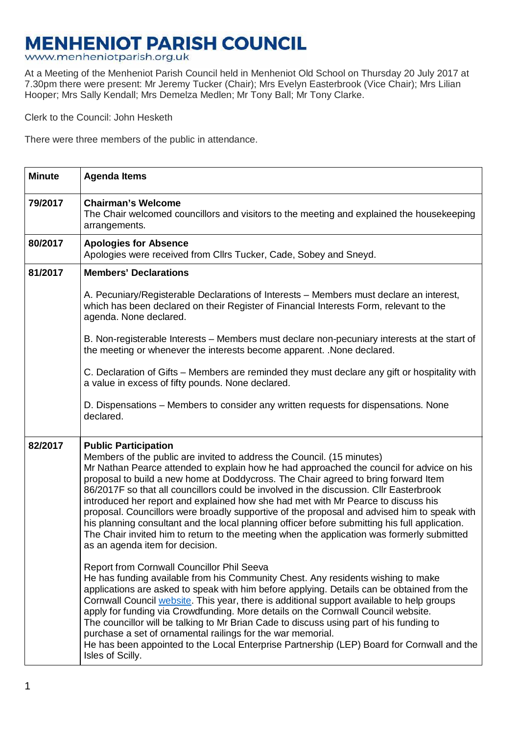## **MENHENIOT PARISH COUNCIL**

www.menheniotparish.org.uk

At a Meeting of the Menheniot Parish Council held in Menheniot Old School on Thursday 20 July 2017 at 7.30pm there were present: Mr Jeremy Tucker (Chair); Mrs Evelyn Easterbrook (Vice Chair); Mrs Lilian Hooper; Mrs Sally Kendall; Mrs Demelza Medlen; Mr Tony Ball; Mr Tony Clarke.

Clerk to the Council: John Hesketh

There were three members of the public in attendance.

| <b>Minute</b> | <b>Agenda Items</b>                                                                                                                                                                                                                                                                                                                                                                                                                                                                                                                                                                                                                                                                                                                                                                                      |
|---------------|----------------------------------------------------------------------------------------------------------------------------------------------------------------------------------------------------------------------------------------------------------------------------------------------------------------------------------------------------------------------------------------------------------------------------------------------------------------------------------------------------------------------------------------------------------------------------------------------------------------------------------------------------------------------------------------------------------------------------------------------------------------------------------------------------------|
| 79/2017       | <b>Chairman's Welcome</b><br>The Chair welcomed councillors and visitors to the meeting and explained the housekeeping<br>arrangements.                                                                                                                                                                                                                                                                                                                                                                                                                                                                                                                                                                                                                                                                  |
| 80/2017       | <b>Apologies for Absence</b><br>Apologies were received from Cllrs Tucker, Cade, Sobey and Sneyd.                                                                                                                                                                                                                                                                                                                                                                                                                                                                                                                                                                                                                                                                                                        |
| 81/2017       | <b>Members' Declarations</b>                                                                                                                                                                                                                                                                                                                                                                                                                                                                                                                                                                                                                                                                                                                                                                             |
|               | A. Pecuniary/Registerable Declarations of Interests – Members must declare an interest,<br>which has been declared on their Register of Financial Interests Form, relevant to the<br>agenda. None declared.                                                                                                                                                                                                                                                                                                                                                                                                                                                                                                                                                                                              |
|               | B. Non-registerable Interests - Members must declare non-pecuniary interests at the start of<br>the meeting or whenever the interests become apparent. . None declared.                                                                                                                                                                                                                                                                                                                                                                                                                                                                                                                                                                                                                                  |
|               | C. Declaration of Gifts – Members are reminded they must declare any gift or hospitality with<br>a value in excess of fifty pounds. None declared.                                                                                                                                                                                                                                                                                                                                                                                                                                                                                                                                                                                                                                                       |
|               | D. Dispensations – Members to consider any written requests for dispensations. None<br>declared.                                                                                                                                                                                                                                                                                                                                                                                                                                                                                                                                                                                                                                                                                                         |
| 82/2017       | <b>Public Participation</b><br>Members of the public are invited to address the Council. (15 minutes)<br>Mr Nathan Pearce attended to explain how he had approached the council for advice on his<br>proposal to build a new home at Doddycross. The Chair agreed to bring forward Item<br>86/2017F so that all councillors could be involved in the discussion. Cllr Easterbrook<br>introduced her report and explained how she had met with Mr Pearce to discuss his<br>proposal. Councillors were broadly supportive of the proposal and advised him to speak with<br>his planning consultant and the local planning officer before submitting his full application.<br>The Chair invited him to return to the meeting when the application was formerly submitted<br>as an agenda item for decision. |
|               | Report from Cornwall Councillor Phil Seeva<br>He has funding available from his Community Chest. Any residents wishing to make<br>applications are asked to speak with him before applying. Details can be obtained from the<br>Cornwall Council website. This year, there is additional support available to help groups<br>apply for funding via Crowdfunding. More details on the Cornwall Council website.<br>The councillor will be talking to Mr Brian Cade to discuss using part of his funding to<br>purchase a set of ornamental railings for the war memorial.<br>He has been appointed to the Local Enterprise Partnership (LEP) Board for Cornwall and the<br>Isles of Scilly.                                                                                                               |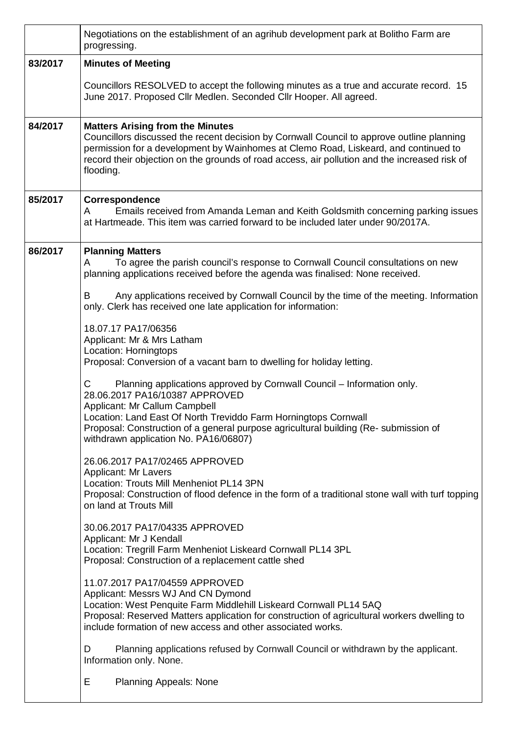|         | Negotiations on the establishment of an agrihub development park at Bolitho Farm are<br>progressing.                                                                                                                                                                                                                                               |  |  |  |  |
|---------|----------------------------------------------------------------------------------------------------------------------------------------------------------------------------------------------------------------------------------------------------------------------------------------------------------------------------------------------------|--|--|--|--|
| 83/2017 | <b>Minutes of Meeting</b>                                                                                                                                                                                                                                                                                                                          |  |  |  |  |
|         | Councillors RESOLVED to accept the following minutes as a true and accurate record. 15<br>June 2017. Proposed Cllr Medlen. Seconded Cllr Hooper. All agreed.                                                                                                                                                                                       |  |  |  |  |
| 84/2017 | <b>Matters Arising from the Minutes</b><br>Councillors discussed the recent decision by Cornwall Council to approve outline planning<br>permission for a development by Wainhomes at Clemo Road, Liskeard, and continued to<br>record their objection on the grounds of road access, air pollution and the increased risk of<br>flooding.          |  |  |  |  |
| 85/2017 | Correspondence<br>Emails received from Amanda Leman and Keith Goldsmith concerning parking issues<br>A<br>at Hartmeade. This item was carried forward to be included later under 90/2017A.                                                                                                                                                         |  |  |  |  |
| 86/2017 | <b>Planning Matters</b><br>To agree the parish council's response to Cornwall Council consultations on new<br>A<br>planning applications received before the agenda was finalised: None received.                                                                                                                                                  |  |  |  |  |
|         | Any applications received by Cornwall Council by the time of the meeting. Information<br>В<br>only. Clerk has received one late application for information:                                                                                                                                                                                       |  |  |  |  |
|         | 18.07.17 PA17/06356<br>Applicant: Mr & Mrs Latham<br>Location: Horningtops<br>Proposal: Conversion of a vacant barn to dwelling for holiday letting.                                                                                                                                                                                               |  |  |  |  |
|         | C<br>Planning applications approved by Cornwall Council - Information only.<br>28.06.2017 PA16/10387 APPROVED<br>Applicant: Mr Callum Campbell<br>Location: Land East Of North Treviddo Farm Horningtops Cornwall<br>Proposal: Construction of a general purpose agricultural building (Re- submission of<br>withdrawn application No. PA16/06807) |  |  |  |  |
|         | 26.06.2017 PA17/02465 APPROVED<br>Applicant: Mr Lavers<br>Location: Trouts Mill Menheniot PL14 3PN<br>Proposal: Construction of flood defence in the form of a traditional stone wall with turf topping<br>on land at Trouts Mill                                                                                                                  |  |  |  |  |
|         | 30.06.2017 PA17/04335 APPROVED<br>Applicant: Mr J Kendall<br>Location: Tregrill Farm Menheniot Liskeard Cornwall PL14 3PL<br>Proposal: Construction of a replacement cattle shed                                                                                                                                                                   |  |  |  |  |
|         | 11.07.2017 PA17/04559 APPROVED<br>Applicant: Messrs WJ And CN Dymond<br>Location: West Penquite Farm Middlehill Liskeard Cornwall PL14 5AQ<br>Proposal: Reserved Matters application for construction of agricultural workers dwelling to<br>include formation of new access and other associated works.                                           |  |  |  |  |
|         | Planning applications refused by Cornwall Council or withdrawn by the applicant.<br>D<br>Information only. None.                                                                                                                                                                                                                                   |  |  |  |  |
|         | E<br><b>Planning Appeals: None</b>                                                                                                                                                                                                                                                                                                                 |  |  |  |  |

 $\overline{\phantom{a}}$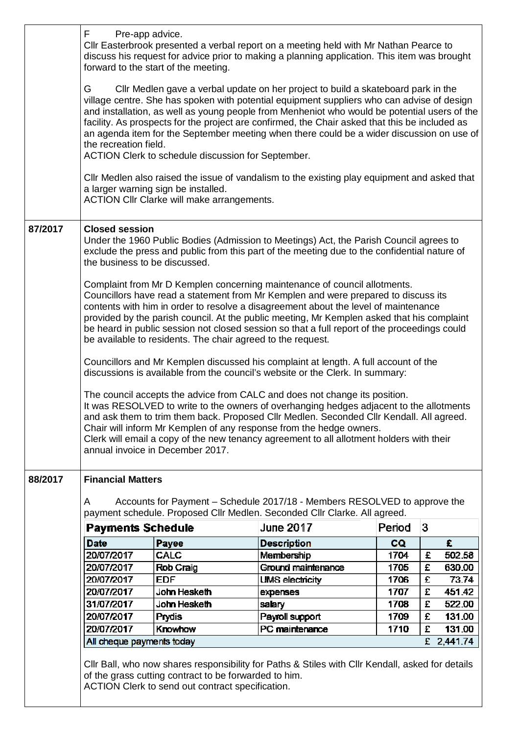|         | F<br>Pre-app advice.<br>CIIr Easterbrook presented a verbal report on a meeting held with Mr Nathan Pearce to<br>discuss his request for advice prior to making a planning application. This item was brought<br>forward to the start of the meeting.                                                                                                                                                                                                                                                                                                              |                                                                                                           |                                                                                                  |        |   |            |
|---------|--------------------------------------------------------------------------------------------------------------------------------------------------------------------------------------------------------------------------------------------------------------------------------------------------------------------------------------------------------------------------------------------------------------------------------------------------------------------------------------------------------------------------------------------------------------------|-----------------------------------------------------------------------------------------------------------|--------------------------------------------------------------------------------------------------|--------|---|------------|
|         | G<br>CIIr Medlen gave a verbal update on her project to build a skateboard park in the<br>village centre. She has spoken with potential equipment suppliers who can advise of design<br>and installation, as well as young people from Menheniot who would be potential users of the<br>facility. As prospects for the project are confirmed, the Chair asked that this be included as<br>an agenda item for the September meeting when there could be a wider discussion on use of<br>the recreation field.<br>ACTION Clerk to schedule discussion for September. |                                                                                                           |                                                                                                  |        |   |            |
|         |                                                                                                                                                                                                                                                                                                                                                                                                                                                                                                                                                                    | a larger warning sign be installed.<br><b>ACTION CIIr Clarke will make arrangements.</b>                  | Cllr Medlen also raised the issue of vandalism to the existing play equipment and asked that     |        |   |            |
| 87/2017 | <b>Closed session</b><br>Under the 1960 Public Bodies (Admission to Meetings) Act, the Parish Council agrees to<br>exclude the press and public from this part of the meeting due to the confidential nature of<br>the business to be discussed.                                                                                                                                                                                                                                                                                                                   |                                                                                                           |                                                                                                  |        |   |            |
|         | Complaint from Mr D Kemplen concerning maintenance of council allotments.<br>Councillors have read a statement from Mr Kemplen and were prepared to discuss its<br>contents with him in order to resolve a disagreement about the level of maintenance<br>provided by the parish council. At the public meeting, Mr Kemplen asked that his complaint<br>be heard in public session not closed session so that a full report of the proceedings could<br>be available to residents. The chair agreed to the request.                                                |                                                                                                           |                                                                                                  |        |   |            |
|         | Councillors and Mr Kemplen discussed his complaint at length. A full account of the<br>discussions is available from the council's website or the Clerk. In summary:                                                                                                                                                                                                                                                                                                                                                                                               |                                                                                                           |                                                                                                  |        |   |            |
|         | The council accepts the advice from CALC and does not change its position.<br>It was RESOLVED to write to the owners of overhanging hedges adjacent to the allotments<br>and ask them to trim them back. Proposed Cllr Medlen. Seconded Cllr Kendall. All agreed.<br>Chair will inform Mr Kemplen of any response from the hedge owners.<br>Clerk will email a copy of the new tenancy agreement to all allotment holders with their<br>annual invoice in December 2017.                                                                                           |                                                                                                           |                                                                                                  |        |   |            |
| 88/2017 | <b>Financial Matters</b>                                                                                                                                                                                                                                                                                                                                                                                                                                                                                                                                           |                                                                                                           |                                                                                                  |        |   |            |
|         | Accounts for Payment – Schedule 2017/18 - Members RESOLVED to approve the<br>A                                                                                                                                                                                                                                                                                                                                                                                                                                                                                     |                                                                                                           |                                                                                                  |        |   |            |
|         |                                                                                                                                                                                                                                                                                                                                                                                                                                                                                                                                                                    |                                                                                                           | payment schedule. Proposed Cllr Medlen. Seconded Cllr Clarke. All agreed.                        |        |   |            |
|         | <b>Payments Schedule</b>                                                                                                                                                                                                                                                                                                                                                                                                                                                                                                                                           |                                                                                                           | <b>June 2017</b>                                                                                 | Period | 3 |            |
|         | <b>Date</b>                                                                                                                                                                                                                                                                                                                                                                                                                                                                                                                                                        | Payee                                                                                                     | <b>Description</b>                                                                               | CQ.    |   | £          |
|         | 20/07/2017                                                                                                                                                                                                                                                                                                                                                                                                                                                                                                                                                         | <b>CALC</b>                                                                                               | <b>Membership</b>                                                                                | 1704   | £ | 502.58     |
|         | 20/07/2017                                                                                                                                                                                                                                                                                                                                                                                                                                                                                                                                                         | Rob Craig                                                                                                 | Ground maintenance                                                                               | 1705   | £ | 630.00     |
|         | 20/07/2017                                                                                                                                                                                                                                                                                                                                                                                                                                                                                                                                                         | <b>EDF</b>                                                                                                | <b>UMS electricity</b>                                                                           | 1706   | £ | 73.74      |
|         | 20/07/2017                                                                                                                                                                                                                                                                                                                                                                                                                                                                                                                                                         | John Hesketh                                                                                              | expenses                                                                                         | 1707   | £ | 451.42     |
|         | 31/07/2017                                                                                                                                                                                                                                                                                                                                                                                                                                                                                                                                                         | John Hesketh                                                                                              | salary                                                                                           | 1708   | £ | 522.00     |
|         | 20/07/2017                                                                                                                                                                                                                                                                                                                                                                                                                                                                                                                                                         | Prydis                                                                                                    | Payroll support                                                                                  | 1709   | £ | 131.00     |
|         | 20/07/2017                                                                                                                                                                                                                                                                                                                                                                                                                                                                                                                                                         | Knowhow                                                                                                   | PC maintenance                                                                                   | 1710   | £ | 131.00     |
|         | All cheque payments today                                                                                                                                                                                                                                                                                                                                                                                                                                                                                                                                          |                                                                                                           |                                                                                                  |        |   | £ 2,441.74 |
|         |                                                                                                                                                                                                                                                                                                                                                                                                                                                                                                                                                                    | of the grass cutting contract to be forwarded to him.<br>ACTION Clerk to send out contract specification. | CIIr Ball, who now shares responsibility for Paths & Stiles with CIIr Kendall, asked for details |        |   |            |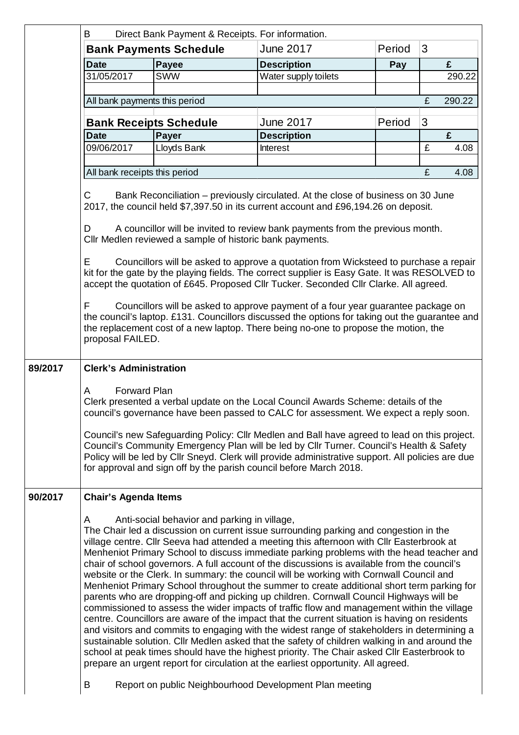|                                                                                                                                                                                                                                                                                                                                                                                                                                                                                                                                                                                                                                                                                                                                                                                                                                                                                                                             | B<br>Direct Bank Payment & Receipts. For information.                                                                                                                                                                                                                                                                                                                                                                                                                                                                                                                          |                                              |                                                                                                                                                                                                                                                                                                                                                                                                                                                                                                                                                                                                                                                                                                                                                                                                                                                                                                                                                                                                                                                                                                                                                                                                                                                      |        |                                                              |        |  |  |  |  |  |  |  |
|-----------------------------------------------------------------------------------------------------------------------------------------------------------------------------------------------------------------------------------------------------------------------------------------------------------------------------------------------------------------------------------------------------------------------------------------------------------------------------------------------------------------------------------------------------------------------------------------------------------------------------------------------------------------------------------------------------------------------------------------------------------------------------------------------------------------------------------------------------------------------------------------------------------------------------|--------------------------------------------------------------------------------------------------------------------------------------------------------------------------------------------------------------------------------------------------------------------------------------------------------------------------------------------------------------------------------------------------------------------------------------------------------------------------------------------------------------------------------------------------------------------------------|----------------------------------------------|------------------------------------------------------------------------------------------------------------------------------------------------------------------------------------------------------------------------------------------------------------------------------------------------------------------------------------------------------------------------------------------------------------------------------------------------------------------------------------------------------------------------------------------------------------------------------------------------------------------------------------------------------------------------------------------------------------------------------------------------------------------------------------------------------------------------------------------------------------------------------------------------------------------------------------------------------------------------------------------------------------------------------------------------------------------------------------------------------------------------------------------------------------------------------------------------------------------------------------------------------|--------|--------------------------------------------------------------|--------|--|--|--|--|--|--|--|
|                                                                                                                                                                                                                                                                                                                                                                                                                                                                                                                                                                                                                                                                                                                                                                                                                                                                                                                             |                                                                                                                                                                                                                                                                                                                                                                                                                                                                                                                                                                                | <b>Bank Payments Schedule</b>                | <b>June 2017</b>                                                                                                                                                                                                                                                                                                                                                                                                                                                                                                                                                                                                                                                                                                                                                                                                                                                                                                                                                                                                                                                                                                                                                                                                                                     | Period | 3                                                            |        |  |  |  |  |  |  |  |
|                                                                                                                                                                                                                                                                                                                                                                                                                                                                                                                                                                                                                                                                                                                                                                                                                                                                                                                             | <b>Date</b>                                                                                                                                                                                                                                                                                                                                                                                                                                                                                                                                                                    | Payee                                        | <b>Description</b>                                                                                                                                                                                                                                                                                                                                                                                                                                                                                                                                                                                                                                                                                                                                                                                                                                                                                                                                                                                                                                                                                                                                                                                                                                   | Pay    |                                                              | £      |  |  |  |  |  |  |  |
|                                                                                                                                                                                                                                                                                                                                                                                                                                                                                                                                                                                                                                                                                                                                                                                                                                                                                                                             | 31/05/2017                                                                                                                                                                                                                                                                                                                                                                                                                                                                                                                                                                     | <b>SWW</b>                                   | Water supply toilets                                                                                                                                                                                                                                                                                                                                                                                                                                                                                                                                                                                                                                                                                                                                                                                                                                                                                                                                                                                                                                                                                                                                                                                                                                 |        |                                                              | 290.22 |  |  |  |  |  |  |  |
|                                                                                                                                                                                                                                                                                                                                                                                                                                                                                                                                                                                                                                                                                                                                                                                                                                                                                                                             | All bank payments this period                                                                                                                                                                                                                                                                                                                                                                                                                                                                                                                                                  |                                              |                                                                                                                                                                                                                                                                                                                                                                                                                                                                                                                                                                                                                                                                                                                                                                                                                                                                                                                                                                                                                                                                                                                                                                                                                                                      |        | £                                                            | 290.22 |  |  |  |  |  |  |  |
|                                                                                                                                                                                                                                                                                                                                                                                                                                                                                                                                                                                                                                                                                                                                                                                                                                                                                                                             |                                                                                                                                                                                                                                                                                                                                                                                                                                                                                                                                                                                |                                              |                                                                                                                                                                                                                                                                                                                                                                                                                                                                                                                                                                                                                                                                                                                                                                                                                                                                                                                                                                                                                                                                                                                                                                                                                                                      |        |                                                              |        |  |  |  |  |  |  |  |
|                                                                                                                                                                                                                                                                                                                                                                                                                                                                                                                                                                                                                                                                                                                                                                                                                                                                                                                             | <b>Bank Receipts Schedule</b><br><b>Date</b>                                                                                                                                                                                                                                                                                                                                                                                                                                                                                                                                   | Payer                                        | <b>June 2017</b><br><b>Description</b>                                                                                                                                                                                                                                                                                                                                                                                                                                                                                                                                                                                                                                                                                                                                                                                                                                                                                                                                                                                                                                                                                                                                                                                                               | Period | 3                                                            | £      |  |  |  |  |  |  |  |
|                                                                                                                                                                                                                                                                                                                                                                                                                                                                                                                                                                                                                                                                                                                                                                                                                                                                                                                             | 09/06/2017                                                                                                                                                                                                                                                                                                                                                                                                                                                                                                                                                                     | Lloyds Bank                                  | Interest                                                                                                                                                                                                                                                                                                                                                                                                                                                                                                                                                                                                                                                                                                                                                                                                                                                                                                                                                                                                                                                                                                                                                                                                                                             |        | £                                                            | 4.08   |  |  |  |  |  |  |  |
|                                                                                                                                                                                                                                                                                                                                                                                                                                                                                                                                                                                                                                                                                                                                                                                                                                                                                                                             |                                                                                                                                                                                                                                                                                                                                                                                                                                                                                                                                                                                |                                              |                                                                                                                                                                                                                                                                                                                                                                                                                                                                                                                                                                                                                                                                                                                                                                                                                                                                                                                                                                                                                                                                                                                                                                                                                                                      |        |                                                              |        |  |  |  |  |  |  |  |
|                                                                                                                                                                                                                                                                                                                                                                                                                                                                                                                                                                                                                                                                                                                                                                                                                                                                                                                             | £<br>All bank receipts this period<br>4.08                                                                                                                                                                                                                                                                                                                                                                                                                                                                                                                                     |                                              |                                                                                                                                                                                                                                                                                                                                                                                                                                                                                                                                                                                                                                                                                                                                                                                                                                                                                                                                                                                                                                                                                                                                                                                                                                                      |        |                                                              |        |  |  |  |  |  |  |  |
| C<br>Bank Reconciliation – previously circulated. At the close of business on 30 June<br>2017, the council held \$7,397.50 in its current account and £96,194.26 on deposit.<br>A councillor will be invited to review bank payments from the previous month.<br>D<br>Cllr Medlen reviewed a sample of historic bank payments.<br>Councillors will be asked to approve a quotation from Wicksteed to purchase a repair<br>E<br>kit for the gate by the playing fields. The correct supplier is Easy Gate. It was RESOLVED to<br>accept the quotation of £645. Proposed Cllr Tucker. Seconded Cllr Clarke. All agreed.<br>F<br>Councillors will be asked to approve payment of a four year guarantee package on<br>the council's laptop. £131. Councillors discussed the options for taking out the guarantee and<br>the replacement cost of a new laptop. There being no-one to propose the motion, the<br>proposal FAILED. |                                                                                                                                                                                                                                                                                                                                                                                                                                                                                                                                                                                |                                              |                                                                                                                                                                                                                                                                                                                                                                                                                                                                                                                                                                                                                                                                                                                                                                                                                                                                                                                                                                                                                                                                                                                                                                                                                                                      |        |                                                              |        |  |  |  |  |  |  |  |
|                                                                                                                                                                                                                                                                                                                                                                                                                                                                                                                                                                                                                                                                                                                                                                                                                                                                                                                             | <b>Forward Plan</b><br>A<br>Clerk presented a verbal update on the Local Council Awards Scheme: details of the<br>council's governance have been passed to CALC for assessment. We expect a reply soon.<br>Council's new Safeguarding Policy: Cllr Medlen and Ball have agreed to lead on this project.<br>Council's Community Emergency Plan will be led by Cllr Turner. Council's Health & Safety<br>Policy will be led by Cllr Sneyd. Clerk will provide administrative support. All policies are due<br>for approval and sign off by the parish council before March 2018. |                                              |                                                                                                                                                                                                                                                                                                                                                                                                                                                                                                                                                                                                                                                                                                                                                                                                                                                                                                                                                                                                                                                                                                                                                                                                                                                      |        |                                                              |        |  |  |  |  |  |  |  |
| 90/2017                                                                                                                                                                                                                                                                                                                                                                                                                                                                                                                                                                                                                                                                                                                                                                                                                                                                                                                     | <b>Chair's Agenda Items</b><br>A                                                                                                                                                                                                                                                                                                                                                                                                                                                                                                                                               | Anti-social behavior and parking in village, | The Chair led a discussion on current issue surrounding parking and congestion in the<br>village centre. Cllr Seeva had attended a meeting this afternoon with Cllr Easterbrook at<br>Menheniot Primary School to discuss immediate parking problems with the head teacher and<br>chair of school governors. A full account of the discussions is available from the council's<br>website or the Clerk. In summary: the council will be working with Cornwall Council and<br>Menheniot Primary School throughout the summer to create additional short term parking for<br>parents who are dropping-off and picking up children. Cornwall Council Highways will be<br>commissioned to assess the wider impacts of traffic flow and management within the village<br>centre. Councillors are aware of the impact that the current situation is having on residents<br>and visitors and commits to engaging with the widest range of stakeholders in determining a<br>sustainable solution. Cllr Medlen asked that the safety of children walking in and around the<br>school at peak times should have the highest priority. The Chair asked Cllr Easterbrook to<br>prepare an urgent report for circulation at the earliest opportunity. All agreed. |        |                                                              |        |  |  |  |  |  |  |  |
|                                                                                                                                                                                                                                                                                                                                                                                                                                                                                                                                                                                                                                                                                                                                                                                                                                                                                                                             |                                                                                                                                                                                                                                                                                                                                                                                                                                                                                                                                                                                |                                              |                                                                                                                                                                                                                                                                                                                                                                                                                                                                                                                                                                                                                                                                                                                                                                                                                                                                                                                                                                                                                                                                                                                                                                                                                                                      |        | Report on public Neighbourhood Development Plan meeting<br>B |        |  |  |  |  |  |  |  |